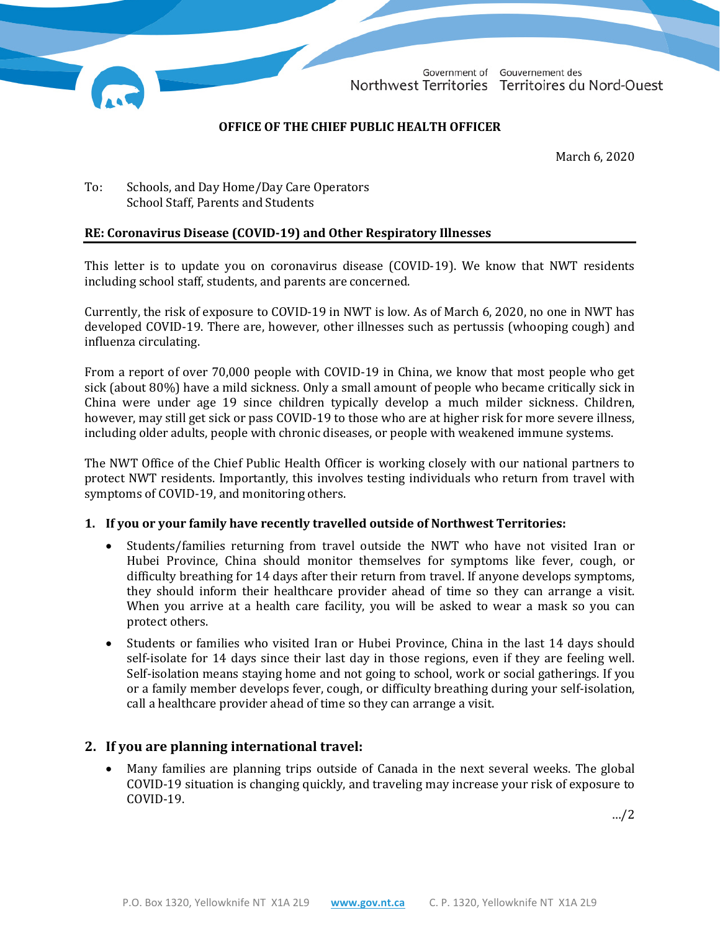

Government of Gouvernement des Northwest Territories Territoires du Nord-Ouest

## **OFFICE OF THE CHIEF PUBLIC HEALTH OFFICER**

March 6, 2020

### To: Schools, and Day Home/Day Care Operators School Staff, Parents and Students

#### **RE: Coronavirus Disease (COVID-19) and Other Respiratory Illnesses**

This letter is to update you on coronavirus disease (COVID-19). We know that NWT residents including school staff, students, and parents are concerned.

Currently, the risk of exposure to COVID-19 in NWT is low. As of March 6, 2020, no one in NWT has developed COVID-19. There are, however, other illnesses such as pertussis (whooping cough) and influenza circulating.

From a report of over 70,000 people with COVID-19 in China, we know that most people who get sick (about 80%) have a mild sickness. Only a small amount of people who became critically sick in China were under age 19 since children typically develop a much milder sickness. Children, however, may still get sick or pass COVID-19 to those who are at higher risk for more severe illness, including older adults, people with chronic diseases, or people with weakened immune systems.

The NWT Office of the Chief Public Health Officer is working closely with our national partners to protect NWT residents. Importantly, this involves testing individuals who return from travel with symptoms of COVID-19, and monitoring others.

#### **1. If you or your family have recently travelled outside of Northwest Territories:**

- Students/families returning from travel outside the NWT who have not visited Iran or Hubei Province, China should monitor themselves for symptoms like fever, cough, or difficulty breathing for 14 days after their return from travel. If anyone develops symptoms, they should inform their healthcare provider ahead of time so they can arrange a visit. When you arrive at a health care facility, you will be asked to wear a mask so you can protect others.
- Students or families who visited Iran or Hubei Province, China in the last 14 days should self-isolate for 14 days since their last day in those regions, even if they are feeling well. Self-isolation means staying home and not going to school, work or social gatherings. If you or a family member develops fever, cough, or difficulty breathing during your self-isolation, call a healthcare provider ahead of time so they can arrange a visit.

## **2. If you are planning international travel:**

• Many families are planning trips outside of Canada in the next several weeks. The global COVID-19 situation is changing quickly, and traveling may increase your risk of exposure to COVID-19.

…/2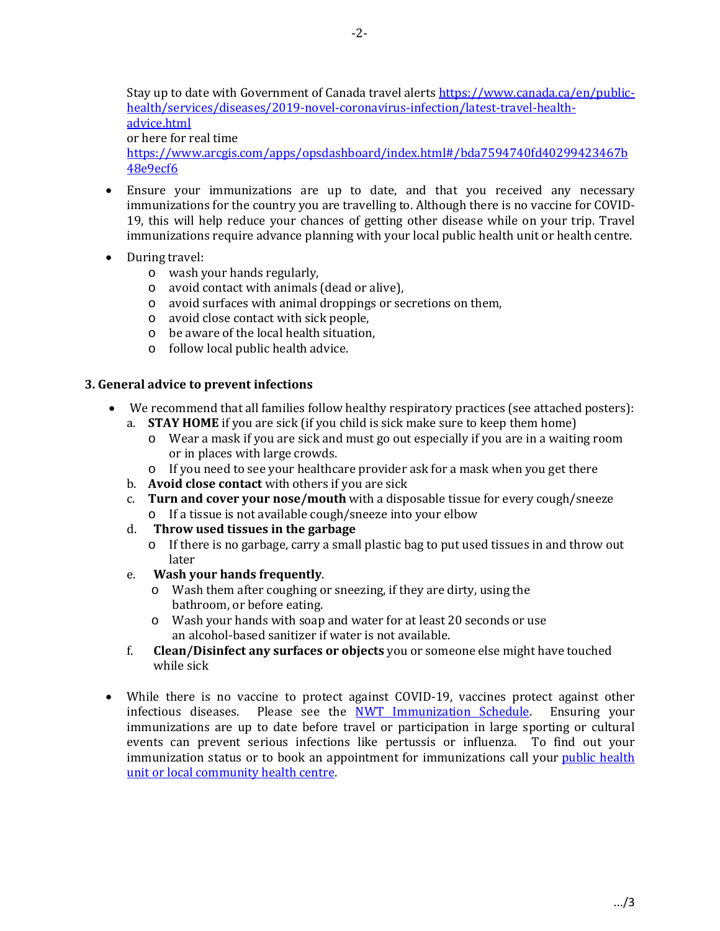Stay up to date with Government of Canada travel alerts [https://www.canada.ca/en/public](https://www.canada.ca/en/public-health/services/diseases/2019-novel-coronavirus-infection/latest-travel-health-advice.html)[health/services/diseases/2019-novel-coronavirus-infection/latest-travel-health](https://www.canada.ca/en/public-health/services/diseases/2019-novel-coronavirus-infection/latest-travel-health-advice.html)[advice.html](https://www.canada.ca/en/public-health/services/diseases/2019-novel-coronavirus-infection/latest-travel-health-advice.html)

or here for real time

[https://www.arcgis.com/apps/opsdashboard/index.html#/bda7594740fd40299423467b](https://www.arcgis.com/apps/opsdashboard/index.html#/bda7594740fd40299423467b48e9ecf6) [48e9ecf6](https://www.arcgis.com/apps/opsdashboard/index.html#/bda7594740fd40299423467b48e9ecf6)

- Ensure your immunizations are up to date, and that you received any necessary immunizations for the country you are travelling to. Although there is no vaccine for COVID-19, this will help reduce your chances of getting other disease while on your trip. Travel immunizations require advance planning with your local public health unit or health centre.
- During travel:
	- o wash your hands regularly,
	- o avoid contact with animals (dead or alive),
	- o avoid surfaces with animal droppings or secretions on them,
	- o avoid close contact with sick people,
	- o be aware of the local health situation,
	- o follow local public health advice.

## **3. General advice to prevent infections**

- We recommend that all families follow healthy respiratory practices (see attached posters):
	- a. **STAY HOME** if you are sick (if you child is sick make sure to keep them home)
		- o Wear a mask if you are sick and must go out especially if you are in a waiting room or in places with large crowds.
		- $\circ$  If you need to see your healthcare provider ask for a mask when you get there
	- b. **Avoid close contact** with others if you are sick
	- c. **Turn and cover your nose/mouth** with a disposable tissue for every cough/sneeze
		- o If a tissue is not available cough/sneeze into your elbow
	- d. **Throw used tissues in the garbage**
		- o If there is no garbage, carry a small plastic bag to put used tissues in and throw out later
	- e. **Wash your hands frequently**.
		- o Wash them after coughing or sneezing, if they are dirty, using the bathroom, or before eating.
		- o Wash your hands with soap and water for at least 20 seconds or use an alcohol-based sanitizer if water is not available.
	- f. **Clean/Disinfect any surfaces or objects** you or someone else might have touched while sick
- While there is no vaccine to protect against COVID-19, vaccines protect against other infectious diseases. Please see the [NWT Immunization Schedule.](https://www.hss.gov.nt.ca/en/services/immunization-vaccination) Ensuring your immunizations are up to date before travel or participation in large sporting or cultural events can prevent serious infections like pertussis or influenza. To find out your immunization status or to book an appointment for immunizations call your [public health](https://www.hss.gov.nt.ca/en/hospitals-and-health-centres)  [unit or local community health centre.](https://www.hss.gov.nt.ca/en/hospitals-and-health-centres)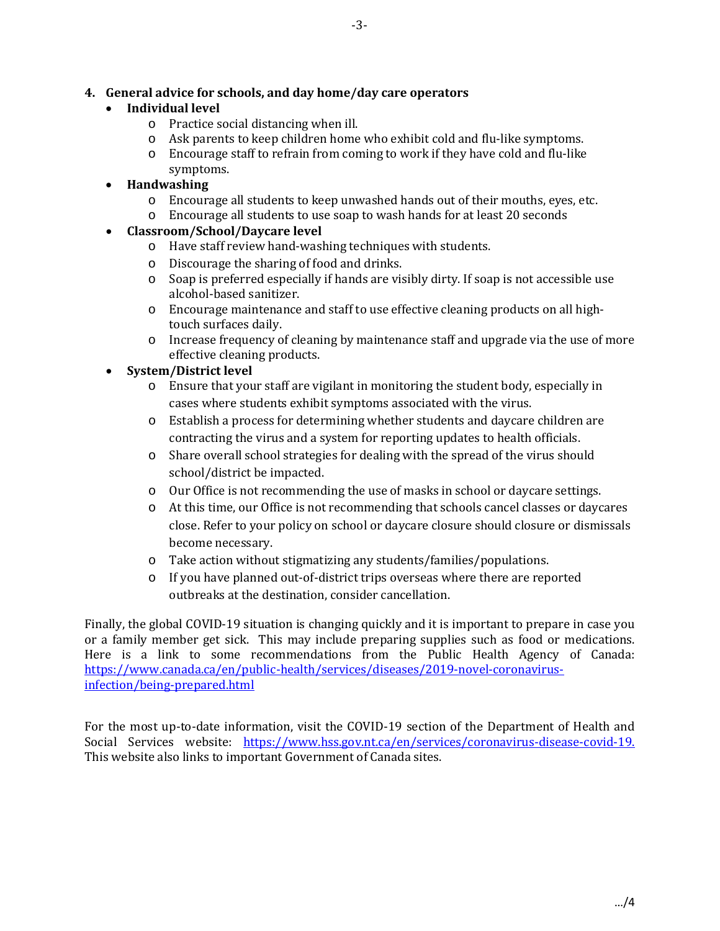-3-

# **4. General advice for schools, and day home/day care operators**

# • **Individual level**

- o Practice social distancing when ill.
- o Ask parents to keep children home who exhibit cold and flu-like symptoms.
- o Encourage staff to refrain from coming to work if they have cold and flu-like symptoms.

## • **Handwashing**

- o Encourage all students to keep unwashed hands out of their mouths, eyes, etc.
- o Encourage all students to use soap to wash hands for at least 20 seconds

## • **Classroom/School/Daycare level**

- o Have staff review hand-washing techniques with students.
- o Discourage the sharing of food and drinks.
- o Soap is preferred especially if hands are visibly dirty. If soap is not accessible use alcohol-based sanitizer.
- o Encourage maintenance and staff to use effective cleaning products on all hightouch surfaces daily.
- o Increase frequency of cleaning by maintenance staff and upgrade via the use of more effective cleaning products.

## • **System/District level**

- o Ensure that your staff are vigilant in monitoring the student body, especially in cases where students exhibit symptoms associated with the virus.
- o Establish a process for determining whether students and daycare children are contracting the virus and a system for reporting updates to health officials.
- o Share overall school strategies for dealing with the spread of the virus should school/district be impacted.
- o Our Office is not recommending the use of masks in school or daycare settings.
- o At this time, our Office is not recommending that schools cancel classes or daycares close. Refer to your policy on school or daycare closure should closure or dismissals become necessary.
- o Take action without stigmatizing any students/families/populations.
- o If you have planned out-of-district trips overseas where there are reported outbreaks at the destination, consider cancellation.

Finally, the global COVID-19 situation is changing quickly and it is important to prepare in case you or a family member get sick. This may include preparing supplies such as food or medications. Here is a link to some recommendations from the Public Health Agency of Canada: [https://www.canada.ca/en/public-health/services/diseases/2019-novel-coronavirus](https://www.canada.ca/en/public-health/services/diseases/2019-novel-coronavirus-infection/being-prepared.html)[infection/being-prepared.html](https://www.canada.ca/en/public-health/services/diseases/2019-novel-coronavirus-infection/being-prepared.html)

For the most up-to-date information, visit the COVID-19 section of the Department of Health and Social Services website: [https://www.hss.gov.nt.ca/en/services/coronavirus-disease-covid-19.](https://www.hss.gov.nt.ca/en/services/coronavirus-disease-covid-19) This website also links to important Government of Canada sites.